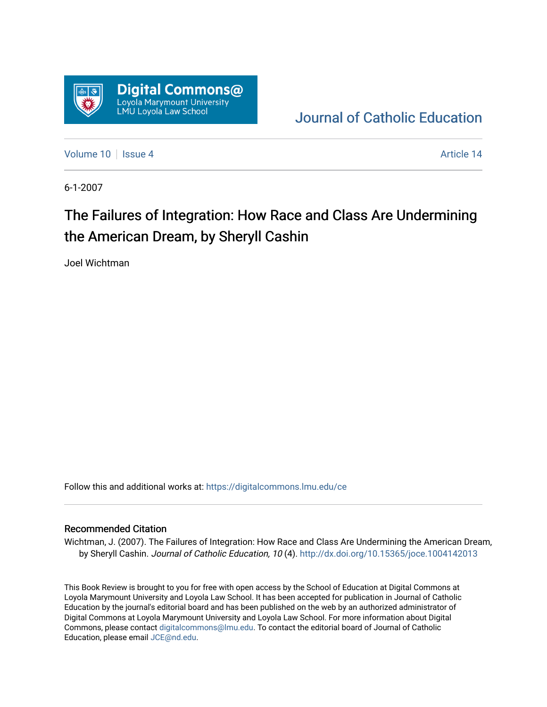

## [Journal of Catholic Education](https://digitalcommons.lmu.edu/ce)

[Volume 10](https://digitalcommons.lmu.edu/ce/vol10) | [Issue 4](https://digitalcommons.lmu.edu/ce/vol10/iss4) Article 14

6-1-2007

# The Failures of Integration: How Race and Class Are Undermining the American Dream, by Sheryll Cashin

Joel Wichtman

Follow this and additional works at: [https://digitalcommons.lmu.edu/ce](https://digitalcommons.lmu.edu/ce?utm_source=digitalcommons.lmu.edu%2Fce%2Fvol10%2Fiss4%2F14&utm_medium=PDF&utm_campaign=PDFCoverPages)

### Recommended Citation

Wichtman, J. (2007). The Failures of Integration: How Race and Class Are Undermining the American Dream, by Sheryll Cashin. Journal of Catholic Education, 10 (4). <http://dx.doi.org/10.15365/joce.1004142013>

This Book Review is brought to you for free with open access by the School of Education at Digital Commons at Loyola Marymount University and Loyola Law School. It has been accepted for publication in Journal of Catholic Education by the journal's editorial board and has been published on the web by an authorized administrator of Digital Commons at Loyola Marymount University and Loyola Law School. For more information about Digital Commons, please contact [digitalcommons@lmu.edu.](mailto:digitalcommons@lmu.edu) To contact the editorial board of Journal of Catholic Education, please email [JCE@nd.edu.](mailto:JCE@nd.edu)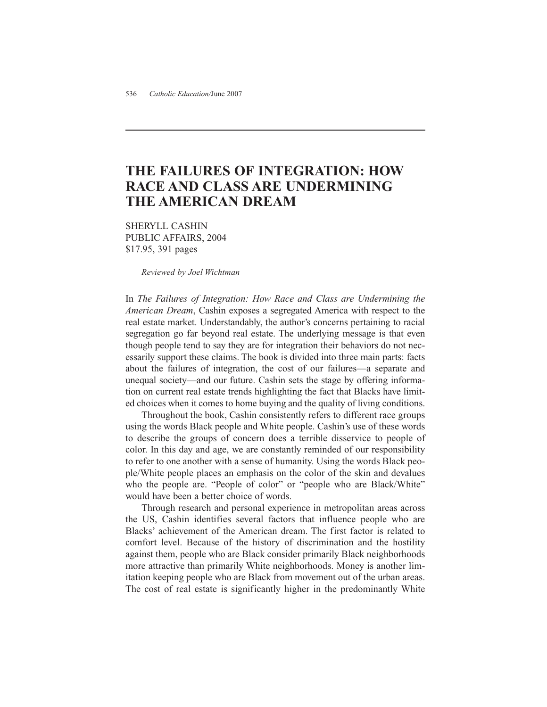### **THE FAILURES OF INTEGRATION: HOW RACE AND CLASS ARE UNDERMINING THE AMERICAN DREAM**

SHERYLL CASHIN PUBLIC AFFAIRS, 2004 \$17.95, 391 pages

*Reviewed by Joel Wichtman*

In *The Failures of Integration: How Race and Class are Undermining the American Dream*, Cashin exposes a segregated America with respect to the real estate market. Understandably, the author's concerns pertaining to racial segregation go far beyond real estate. The underlying message is that even though people tend to say they are for integration their behaviors do not necessarily support these claims. The book is divided into three main parts: facts about the failures of integration, the cost of our failures—a separate and unequal society—and our future. Cashin sets the stage by offering information on current real estate trends highlighting the fact that Blacks have limited choices when it comes to home buying and the quality of living conditions.

Throughout the book, Cashin consistently refers to different race groups using the words Black people and White people. Cashin's use of these words to describe the groups of concern does a terrible disservice to people of color. In this day and age, we are constantly reminded of our responsibility to refer to one another with a sense of humanity. Using the words Black people/White people places an emphasis on the color of the skin and devalues who the people are. "People of color" or "people who are Black/White" would have been a better choice of words.

Through research and personal experience in metropolitan areas across the US, Cashin identifies several factors that influence people who are Blacks' achievement of the American dream. The first factor is related to comfort level. Because of the history of discrimination and the hostility against them, people who are Black consider primarily Black neighborhoods more attractive than primarily White neighborhoods. Money is another limitation keeping people who are Black from movement out of the urban areas. The cost of real estate is significantly higher in the predominantly White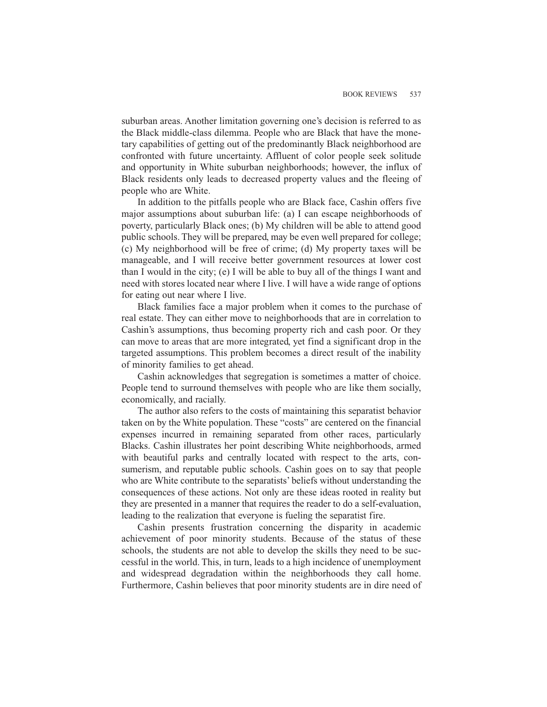suburban areas. Another limitation governing one's decision is referred to as the Black middle-class dilemma. People who are Black that have the monetary capabilities of getting out of the predominantly Black neighborhood are confronted with future uncertainty. Affluent of color people seek solitude and opportunity in White suburban neighborhoods; however, the influx of Black residents only leads to decreased property values and the fleeing of people who are White.

In addition to the pitfalls people who are Black face, Cashin offers five major assumptions about suburban life: (a) I can escape neighborhoods of poverty, particularly Black ones; (b) My children will be able to attend good public schools. They will be prepared, may be even well prepared for college; (c) My neighborhood will be free of crime; (d) My property taxes will be manageable, and I will receive better government resources at lower cost than I would in the city; (e) I will be able to buy all of the things I want and need with stores located near where I live. I will have a wide range of options for eating out near where I live.

Black families face a major problem when it comes to the purchase of real estate. They can either move to neighborhoods that are in correlation to Cashin's assumptions, thus becoming property rich and cash poor. Or they can move to areas that are more integrated, yet find a significant drop in the targeted assumptions. This problem becomes a direct result of the inability of minority families to get ahead.

Cashin acknowledges that segregation is sometimes a matter of choice. People tend to surround themselves with people who are like them socially, economically, and racially.

The author also refers to the costs of maintaining this separatist behavior taken on by the White population. These "costs" are centered on the financial expenses incurred in remaining separated from other races, particularly Blacks. Cashin illustrates her point describing White neighborhoods, armed with beautiful parks and centrally located with respect to the arts, consumerism, and reputable public schools. Cashin goes on to say that people who are White contribute to the separatists' beliefs without understanding the consequences of these actions. Not only are these ideas rooted in reality but they are presented in a manner that requires the reader to do a self-evaluation, leading to the realization that everyone is fueling the separatist fire.

Cashin presents frustration concerning the disparity in academic achievement of poor minority students. Because of the status of these schools, the students are not able to develop the skills they need to be successful in the world. This, in turn, leads to a high incidence of unemployment and widespread degradation within the neighborhoods they call home. Furthermore, Cashin believes that poor minority students are in dire need of